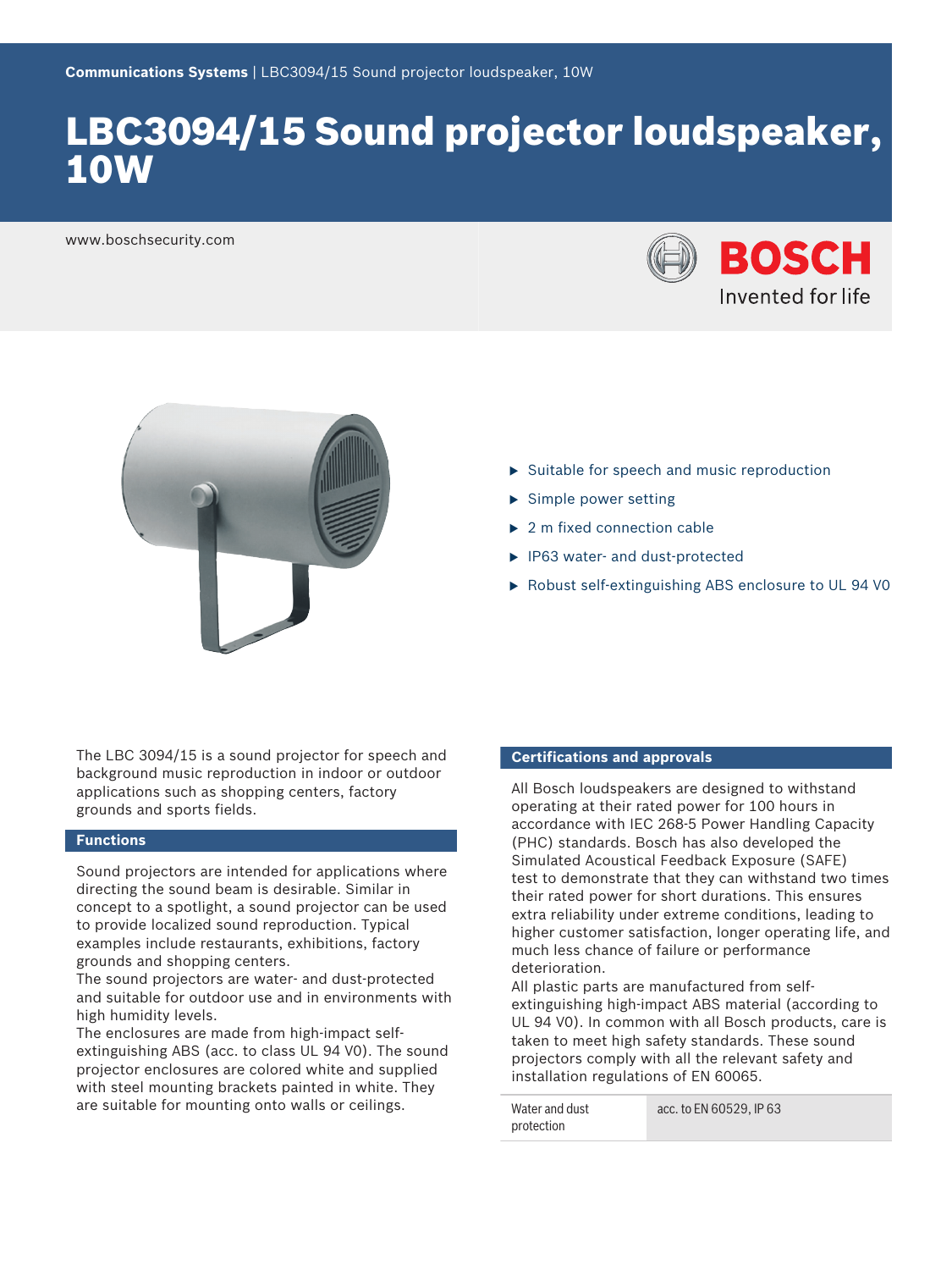# LBC3094/15 Sound projector loudspeaker, 10W

www.boschsecurity.com





- $\triangleright$  Suitable for speech and music reproduction
- $\blacktriangleright$  Simple power setting
- $\blacktriangleright$  2 m fixed connection cable
- $\blacktriangleright$  IP63 water- and dust-protected
- ▶ Robust self-extinguishing ABS enclosure to UL 94 V0

The LBC 3094/15 is a sound projector for speech and background music reproduction in indoor or outdoor applications such as shopping centers, factory grounds and sports fields.

## **Functions**

Sound projectors are intended for applications where directing the sound beam is desirable. Similar in concept to a spotlight, a sound projector can be used to provide localized sound reproduction. Typical examples include restaurants, exhibitions, factory grounds and shopping centers.

The sound projectors are water- and dust-protected and suitable for outdoor use and in environments with high humidity levels.

The enclosures are made from high-impact selfextinguishing ABS (acc. to class UL 94 V0). The sound projector enclosures are colored white and supplied with steel mounting brackets painted in white. They are suitable for mounting onto walls or ceilings.

#### **Certifications and approvals**

All Bosch loudspeakers are designed to withstand operating at their rated power for 100 hours in accordance with IEC 268-5 Power Handling Capacity (PHC) standards. Bosch has also developed the Simulated Acoustical Feedback Exposure (SAFE) test to demonstrate that they can withstand two times their rated power for short durations. This ensures extra reliability under extreme conditions, leading to higher customer satisfaction, longer operating life, and much less chance of failure or performance deterioration.

All plastic parts are manufactured from selfextinguishing high-impact ABS material (according to UL 94 V0). In common with all Bosch products, care is taken to meet high safety standards. These sound projectors comply with all the relevant safety and installation regulations of EN 60065.

| Water and dust | acc. to EN 60529, IP 63 |
|----------------|-------------------------|
| protection     |                         |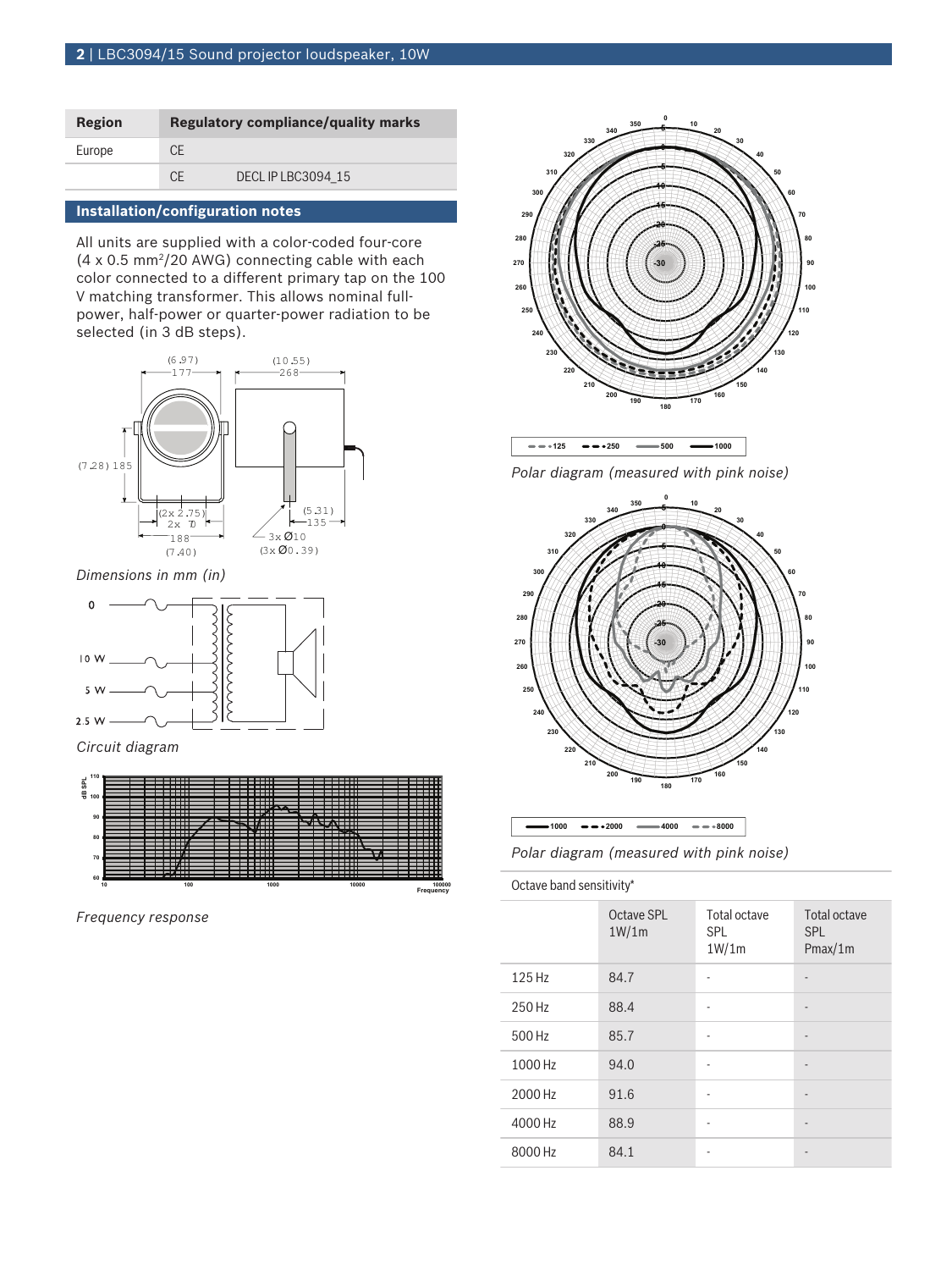| Region | <b>Regulatory compliance/quality marks</b> |                   |
|--------|--------------------------------------------|-------------------|
| Europe | <b>CE</b>                                  |                   |
|        | C.F                                        | DECLIP LBC3094 15 |

#### **Installation/configuration notes**

All units are supplied with a color-coded four-core  $(4 \times 0.5 \text{ mm}^2/20 \text{ AWG})$  connecting cable with each color connected to a different primary tap on the 100 V matching transformer. This allows nominal fullpower, half-power or quarter-power radiation to be selected (in 3 dB steps).



*Dimensions in mm (in)*



*Circuit diagram*



*Frequency response*



*Polar diagram (measured with pink noise)*



| $-1000$ $-0.2000$                        | $-4000$ $-8000$ |  |  |
|------------------------------------------|-----------------|--|--|
| Polar diagram (measured with pink noise) |                 |  |  |

Octave band sensitivity\*

|         | Octave SPL<br>1W/1m | Total octave<br><b>SPL</b><br>1W/1m | Total octave<br><b>SPL</b><br>Pmax/1m |
|---------|---------------------|-------------------------------------|---------------------------------------|
| 125 Hz  | 84.7                |                                     | $\overline{\phantom{m}}$              |
| 250 Hz  | 88.4                | ۰                                   | $\overline{a}$                        |
| 500 Hz  | 85.7                | ۰                                   | ٠                                     |
| 1000 Hz | 94.0                | ٠                                   | $\overline{\phantom{m}}$              |
| 2000 Hz | 91.6                |                                     |                                       |
| 4000 Hz | 88.9                |                                     | $\overline{\phantom{m}}$              |
| 8000 Hz | 84.1                |                                     |                                       |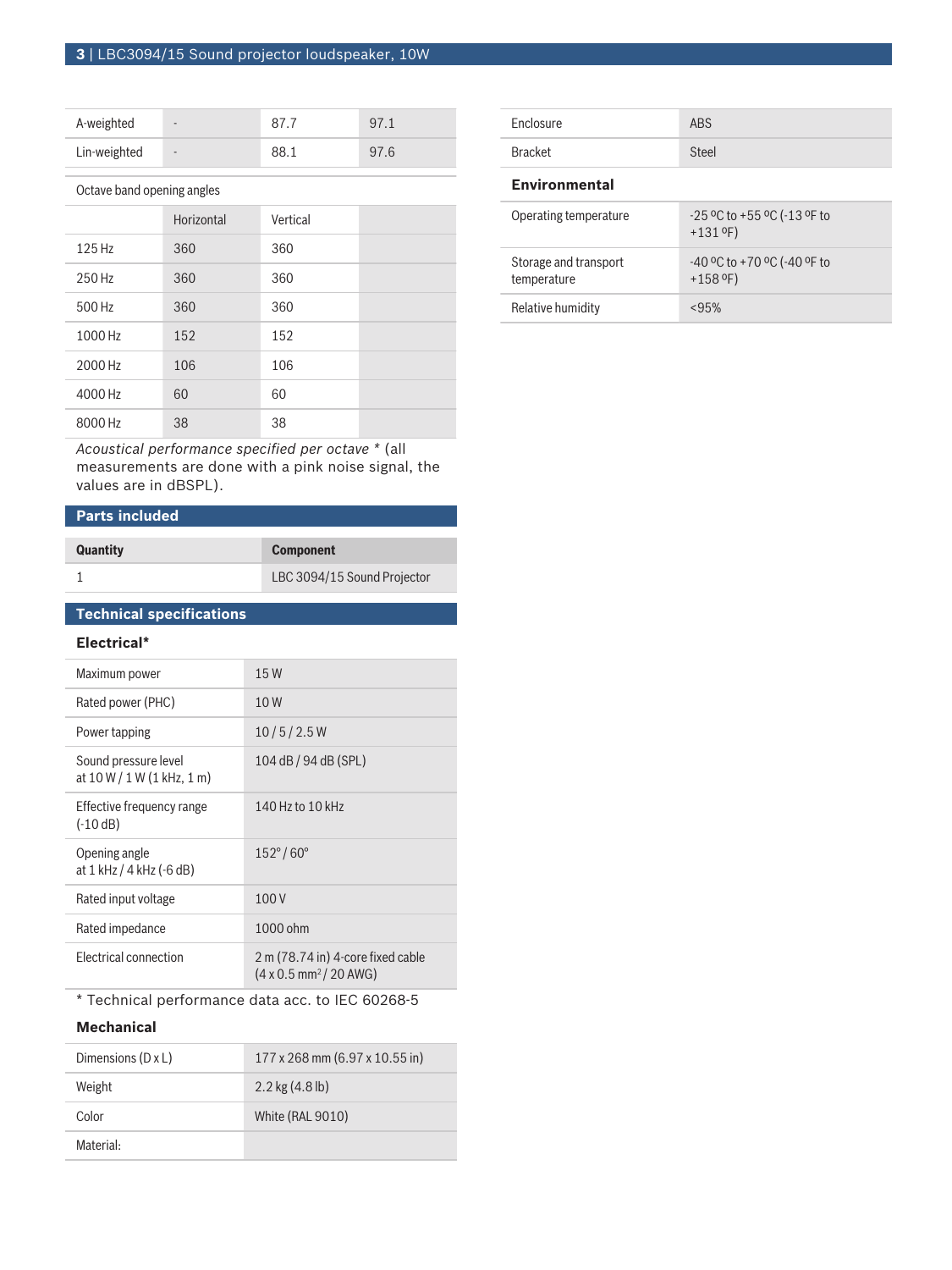| A-weighted   | $\overline{\phantom{a}}$ | 97.1 |
|--------------|--------------------------|------|
| Lin-weighted | $\overline{\phantom{a}}$ | 97.6 |

Octave band opening angles

|         | Horizontal | Vertical |  |
|---------|------------|----------|--|
| 125 Hz  | 360        | 360      |  |
| 250 Hz  | 360        | 360      |  |
| 500 Hz  | 360        | 360      |  |
| 1000 Hz | 152        | 152      |  |
| 2000 Hz | 106        | 106      |  |
| 4000 Hz | 60         | 60       |  |
| 8000 Hz | 38         | 38       |  |

*Acoustical performance specified per octave \** (all measurements are done with a pink noise signal, the values are in dBSPL).

# **Parts included**

| <b>Quantity</b> | <b>Component</b>            |
|-----------------|-----------------------------|
|                 | LBC 3094/15 Sound Projector |

# **Technical specifications**

## **Electrical\***

| Maximum power                                        | 15W                                                                                 |
|------------------------------------------------------|-------------------------------------------------------------------------------------|
| Rated power (PHC)                                    | 10W                                                                                 |
| Power tapping                                        | 10/5/2.5W                                                                           |
| Sound pressure level<br>at $10 W / 1 W (1 kHz, 1 m)$ | 104 dB / 94 dB (SPL)                                                                |
| Effective frequency range<br>$(-10 dB)$              | 140 Hz to 10 kHz                                                                    |
| Opening angle<br>at 1 kHz / 4 kHz (-6 dB)            | $152^{\circ}/60^{\circ}$                                                            |
| Rated input voltage                                  | 100V                                                                                |
| Rated impedance                                      | 1000 ohm                                                                            |
| <b>Electrical connection</b>                         | 2 m (78.74 in) 4-core fixed cable<br>$(4 \times 0.5 \text{ mm}^2 / 20 \text{ AWG})$ |

\* Technical performance data acc. to IEC 60268‑5

# **Mechanical**

| Dimensions (D x L) | 177 x 268 mm (6.97 x 10.55 in) |
|--------------------|--------------------------------|
| Weight             | $2.2$ kg $(4.8$ lb)            |
| Color              | White (RAL 9010)               |
| Material:          |                                |

| Enclosure | <b>ABS</b> |
|-----------|------------|
| Bracket   | Steel      |

#### **Environmental**

| Operating temperature                | $-25$ °C to $+55$ °C ( $-13$ °F to<br>$+131$ °F) |
|--------------------------------------|--------------------------------------------------|
| Storage and transport<br>temperature | $-40$ °C to +70 °C (-40 °F to<br>$+158$ °F)      |
| Relative humidity                    | <95%                                             |
|                                      |                                                  |